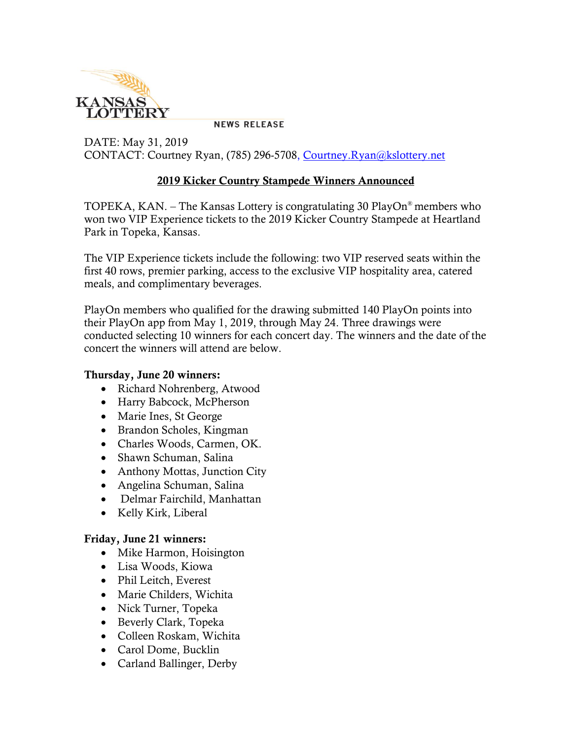

**NEWS RELEASE** 

DATE: May 31, 2019 CONTACT: Courtney Ryan, (785) 296-5708, [Courtney.Ryan@kslottery.net](mailto:Courtney.Ryan@kslottery.net)

## **2019 Kicker Country Stampede Winners Announced**

TOPEKA, KAN. – The Kansas Lottery is congratulating 30 PlayOn® members who won two VIP Experience tickets to the 2019 Kicker Country Stampede at Heartland Park in Topeka, Kansas.

The VIP Experience tickets include the following: two VIP reserved seats within the first 40 rows, premier parking, access to the exclusive VIP hospitality area, catered meals, and complimentary beverages.

PlayOn members who qualified for the drawing submitted 140 PlayOn points into their PlayOn app from May 1, 2019, through May 24. Three drawings were conducted selecting 10 winners for each concert day. The winners and the date of the concert the winners will attend are below.

## **Thursday, June 20 winners:**

- Richard Nohrenberg, Atwood
- Harry Babcock, McPherson
- Marie Ines, St George
- Brandon Scholes, Kingman
- Charles Woods, Carmen, OK.
- Shawn Schuman, Salina
- Anthony Mottas, Junction City
- Angelina Schuman, Salina
- Delmar Fairchild, Manhattan
- Kelly Kirk, Liberal

## **Friday, June 21 winners:**

- Mike Harmon, Hoisington
- Lisa Woods, Kiowa
- Phil Leitch, Everest
- Marie Childers, Wichita
- Nick Turner, Topeka
- Beverly Clark, Topeka
- Colleen Roskam, Wichita
- Carol Dome, Bucklin
- Carland Ballinger, Derby